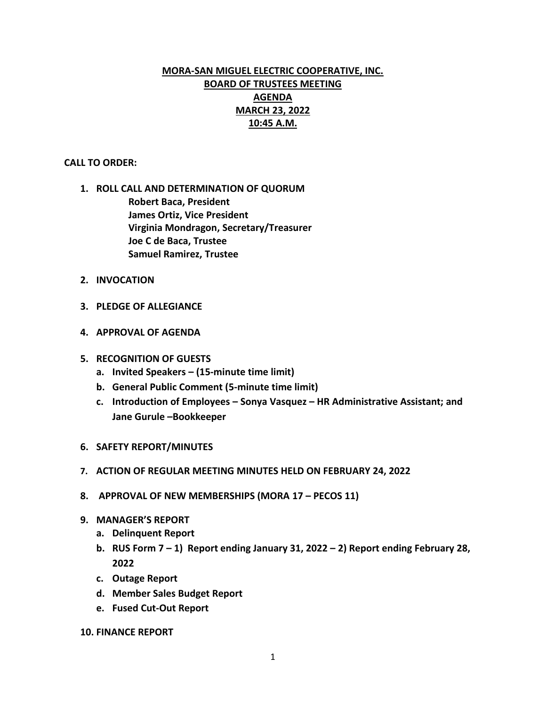# **MORA-SAN MIGUEL ELECTRIC COOPERATIVE, INC. BOARD OF TRUSTEES MEETING AGENDA MARCH 23, 2022 10:45 A.M.**

## **CALL TO ORDER:**

- **1. ROLL CALL AND DETERMINATION OF QUORUM Robert Baca, President James Ortiz, Vice President Virginia Mondragon, Secretary/Treasurer Joe C de Baca, Trustee Samuel Ramirez, Trustee**
- **2. INVOCATION**
- **3. PLEDGE OF ALLEGIANCE**
- **4. APPROVAL OF AGENDA**
- **5. RECOGNITION OF GUESTS**
	- **a. Invited Speakers – (15-minute time limit)**
	- **b. General Public Comment (5-minute time limit)**
	- **c. Introduction of Employees – Sonya Vasquez – HR Administrative Assistant; and Jane Gurule –Bookkeeper**
- **6. SAFETY REPORT/MINUTES**
- **7. ACTION OF REGULAR MEETING MINUTES HELD ON FEBRUARY 24, 2022**
- **8. APPROVAL OF NEW MEMBERSHIPS (MORA 17 – PECOS 11)**
- **9. MANAGER'S REPORT**
	- **a. Delinquent Report**
	- **b. RUS Form 7 – 1) Report ending January 31, 2022 – 2) Report ending February 28, 2022**
	- **c. Outage Report**
	- **d. Member Sales Budget Report**
	- **e. Fused Cut-Out Report**
- **10. FINANCE REPORT**